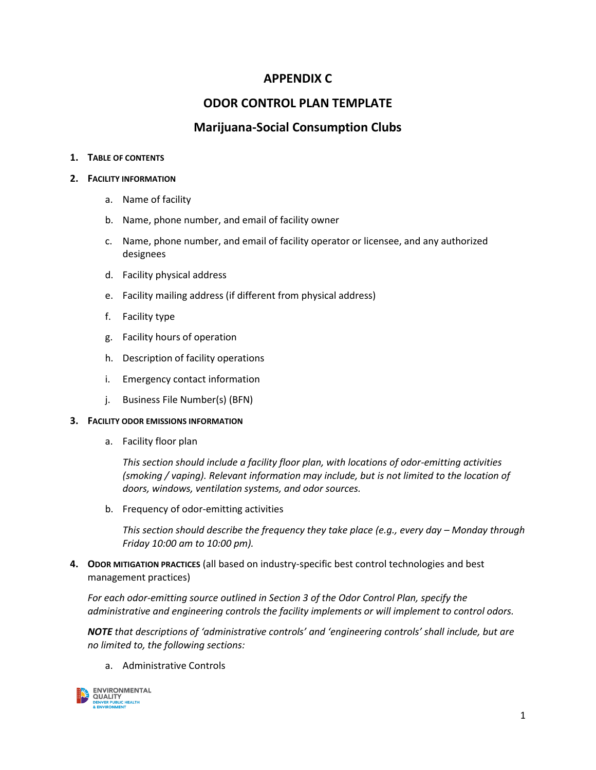# **APPENDIX C**

# **ODOR CONTROL PLAN TEMPLATE**

## **Marijuana-Social Consumption Clubs**

### **1. TABLE OF CONTENTS**

### **2. FACILITY INFORMATION**

- a. Name of facility
- b. Name, phone number, and email of facility owner
- c. Name, phone number, and email of facility operator or licensee, and any authorized designees
- d. Facility physical address
- e. Facility mailing address (if different from physical address)
- f. Facility type
- g. Facility hours of operation
- h. Description of facility operations
- i. Emergency contact information
- j. Business File Number(s) (BFN)

### **3. FACILITY ODOR EMISSIONS INFORMATION**

a. Facility floor plan

*This section should include a facility floor plan, with locations of odor-emitting activities (smoking / vaping). Relevant information may include, but is not limited to the location of doors, windows, ventilation systems, and odor sources.*

b. Frequency of odor-emitting activities

*This section should describe the frequency they take place (e.g., every day – Monday through Friday 10:00 am to 10:00 pm).* 

**4. ODOR MITIGATION PRACTICES** (all based on industry-specific best control technologies and best management practices)

*For each odor-emitting source outlined in Section 3 of the Odor Control Plan, specify the administrative and engineering controls the facility implements or will implement to control odors.* 

*NOTE that descriptions of 'administrative controls' and 'engineering controls' shall include, but are no limited to, the following sections:* 

a. Administrative Controls

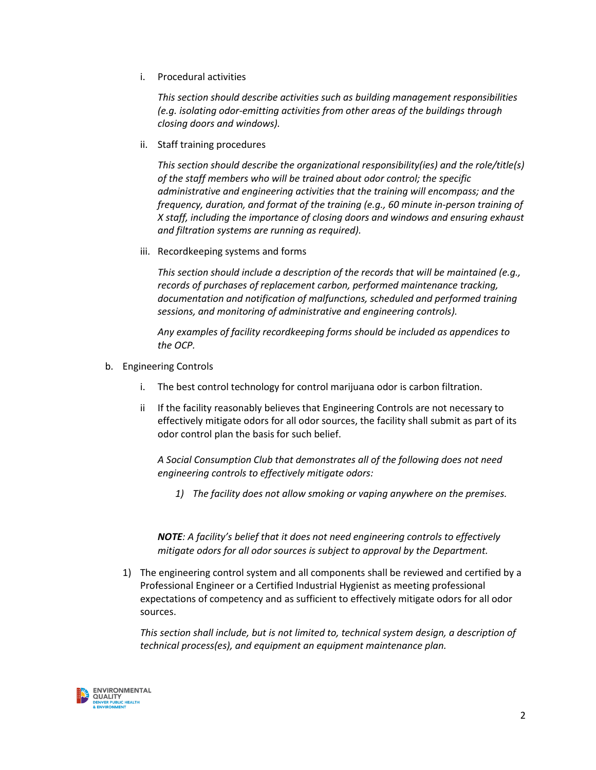i. Procedural activities

*This section should describe activities such as building management responsibilities (e.g. isolating odor-emitting activities from other areas of the buildings through closing doors and windows).*

ii. Staff training procedures

*This section should describe the organizational responsibility(ies) and the role/title(s) of the staff members who will be trained about odor control; the specific administrative and engineering activities that the training will encompass; and the frequency, duration, and format of the training (e.g., 60 minute in-person training of X staff, including the importance of closing doors and windows and ensuring exhaust and filtration systems are running as required).*

iii. Recordkeeping systems and forms

*This section should include a description of the records that will be maintained (e.g., records of purchases of replacement carbon, performed maintenance tracking, documentation and notification of malfunctions, scheduled and performed training sessions, and monitoring of administrative and engineering controls).*

*Any examples of facility recordkeeping forms should be included as appendices to the OCP.* 

- b. Engineering Controls
	- i. The best control technology for control marijuana odor is carbon filtration.
	- ii If the facility reasonably believes that Engineering Controls are not necessary to effectively mitigate odors for all odor sources, the facility shall submit as part of its odor control plan the basis for such belief.

*A Social Consumption Club that demonstrates all of the following does not need engineering controls to effectively mitigate odors:*

*1) The facility does not allow smoking or vaping anywhere on the premises.*

*NOTE: A facility's belief that it does not need engineering controls to effectively mitigate odors for all odor sources is subject to approval by the Department.*

1) The engineering control system and all components shall be reviewed and certified by a Professional Engineer or a Certified Industrial Hygienist as meeting professional expectations of competency and as sufficient to effectively mitigate odors for all odor sources.

*This section shall include, but is not limited to, technical system design, a description of technical process(es), and equipment an equipment maintenance plan.* 

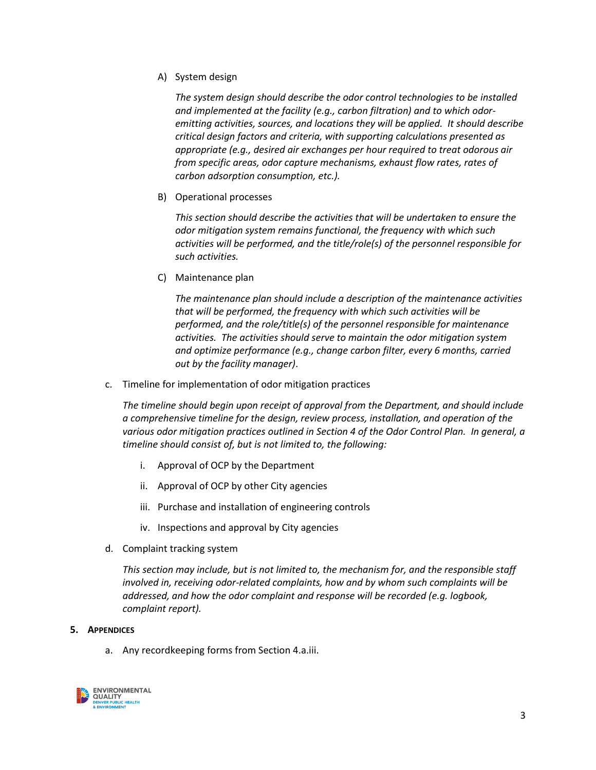A) System design

*The system design should describe the odor control technologies to be installed and implemented at the facility (e.g., carbon filtration) and to which odoremitting activities, sources, and locations they will be applied. It should describe critical design factors and criteria, with supporting calculations presented as appropriate (e.g., desired air exchanges per hour required to treat odorous air from specific areas, odor capture mechanisms, exhaust flow rates, rates of carbon adsorption consumption, etc.).* 

B) Operational processes

*This section should describe the activities that will be undertaken to ensure the odor mitigation system remains functional, the frequency with which such activities will be performed, and the title/role(s) of the personnel responsible for such activities.*

C) Maintenance plan

*The maintenance plan should include a description of the maintenance activities that will be performed, the frequency with which such activities will be performed, and the role/title(s) of the personnel responsible for maintenance activities. The activities should serve to maintain the odor mitigation system and optimize performance (e.g., change carbon filter, every 6 months, carried out by the facility manager)*.

c. Timeline for implementation of odor mitigation practices

*The timeline should begin upon receipt of approval from the Department, and should include a comprehensive timeline for the design, review process, installation, and operation of the various odor mitigation practices outlined in Section 4 of the Odor Control Plan. In general, a timeline should consist of, but is not limited to, the following:*

- i. Approval of OCP by the Department
- ii. Approval of OCP by other City agencies
- iii. Purchase and installation of engineering controls
- iv. Inspections and approval by City agencies
- d. Complaint tracking system

*This section may include, but is not limited to, the mechanism for, and the responsible staff involved in, receiving odor-related complaints, how and by whom such complaints will be addressed, and how the odor complaint and response will be recorded (e.g. logbook, complaint report).*

#### **5. APPENDICES**

a. Any recordkeeping forms from Section 4.a.iii.